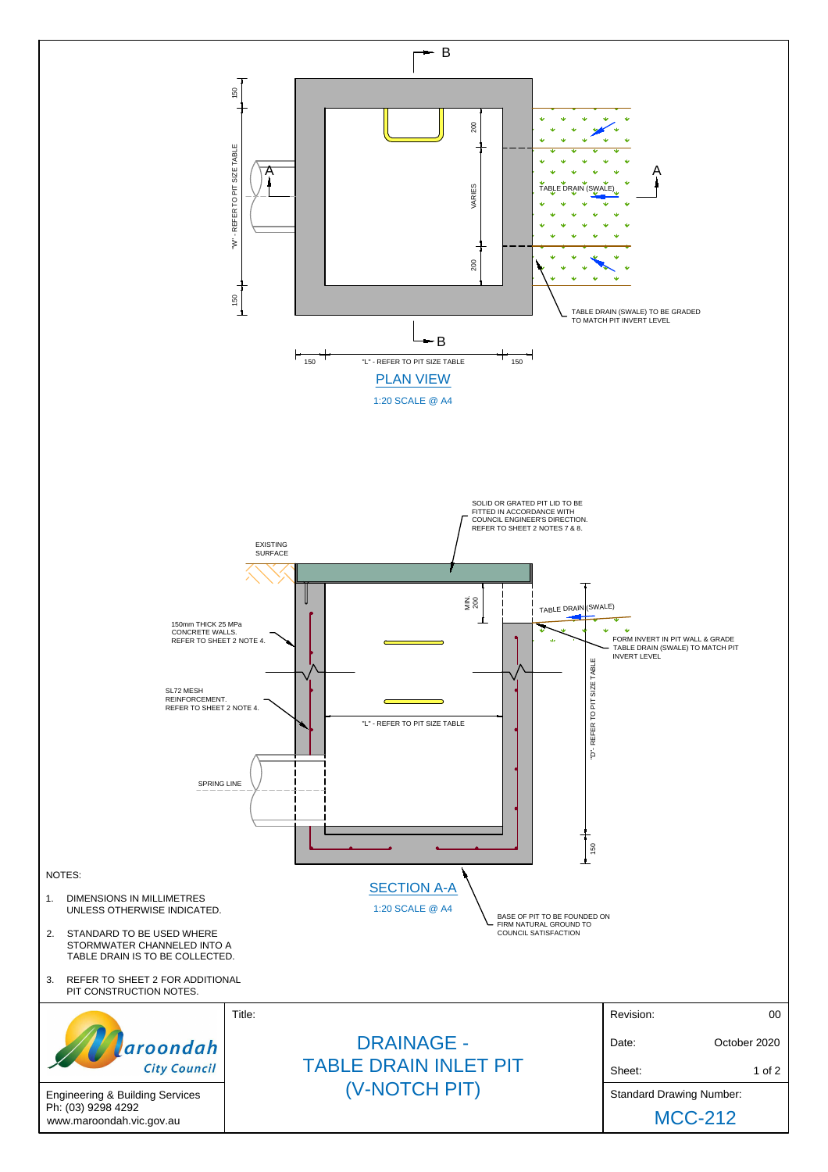